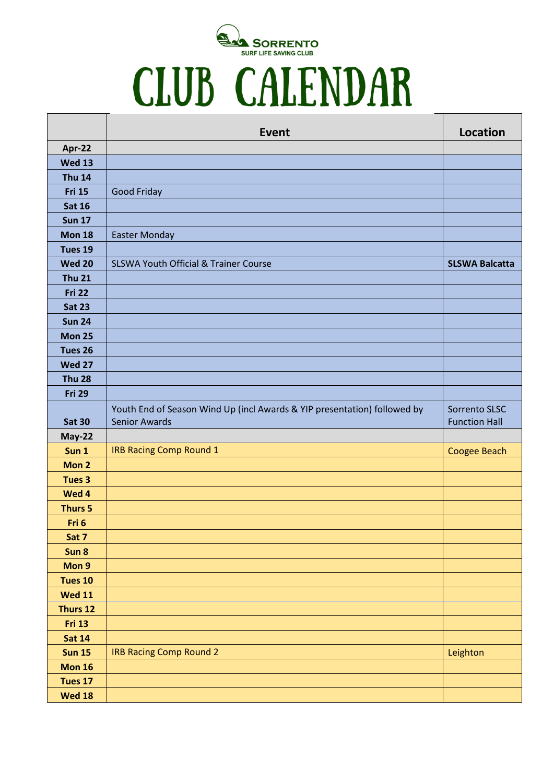

## **CLUB CALENDAR**

|                | <b>Event</b>                                                             | Location              |
|----------------|--------------------------------------------------------------------------|-----------------------|
| Apr-22         |                                                                          |                       |
| <b>Wed 13</b>  |                                                                          |                       |
| <b>Thu 14</b>  |                                                                          |                       |
| <b>Fri 15</b>  | Good Friday                                                              |                       |
| <b>Sat 16</b>  |                                                                          |                       |
| <b>Sun 17</b>  |                                                                          |                       |
| <b>Mon 18</b>  | <b>Easter Monday</b>                                                     |                       |
| Tues 19        |                                                                          |                       |
| <b>Wed 20</b>  | <b>SLSWA Youth Official &amp; Trainer Course</b>                         | <b>SLSWA Balcatta</b> |
| <b>Thu 21</b>  |                                                                          |                       |
| <b>Fri 22</b>  |                                                                          |                       |
| <b>Sat 23</b>  |                                                                          |                       |
| <b>Sun 24</b>  |                                                                          |                       |
| <b>Mon 25</b>  |                                                                          |                       |
| Tues 26        |                                                                          |                       |
| <b>Wed 27</b>  |                                                                          |                       |
| <b>Thu 28</b>  |                                                                          |                       |
| <b>Fri 29</b>  |                                                                          |                       |
|                | Youth End of Season Wind Up (incl Awards & YIP presentation) followed by | Sorrento SLSC         |
| <b>Sat 30</b>  | <b>Senior Awards</b>                                                     | <b>Function Hall</b>  |
| May-22         |                                                                          |                       |
| Sun 1          | <b>IRB Racing Comp Round 1</b>                                           | Coogee Beach          |
| Mon 2          |                                                                          |                       |
| Tues 3         |                                                                          |                       |
| Wed 4          |                                                                          |                       |
| Thurs 5        |                                                                          |                       |
| Fri 6          |                                                                          |                       |
| Sat 7          |                                                                          |                       |
| Sun 8          |                                                                          |                       |
| Mon 9          |                                                                          |                       |
| <b>Tues 10</b> |                                                                          |                       |
| <b>Wed 11</b>  |                                                                          |                       |
| Thurs 12       |                                                                          |                       |
| <b>Fri 13</b>  |                                                                          |                       |
| <b>Sat 14</b>  |                                                                          |                       |
| <b>Sun 15</b>  | <b>IRB Racing Comp Round 2</b>                                           | Leighton              |
| <b>Mon 16</b>  |                                                                          |                       |
| Tues 17        |                                                                          |                       |
| <b>Wed 18</b>  |                                                                          |                       |